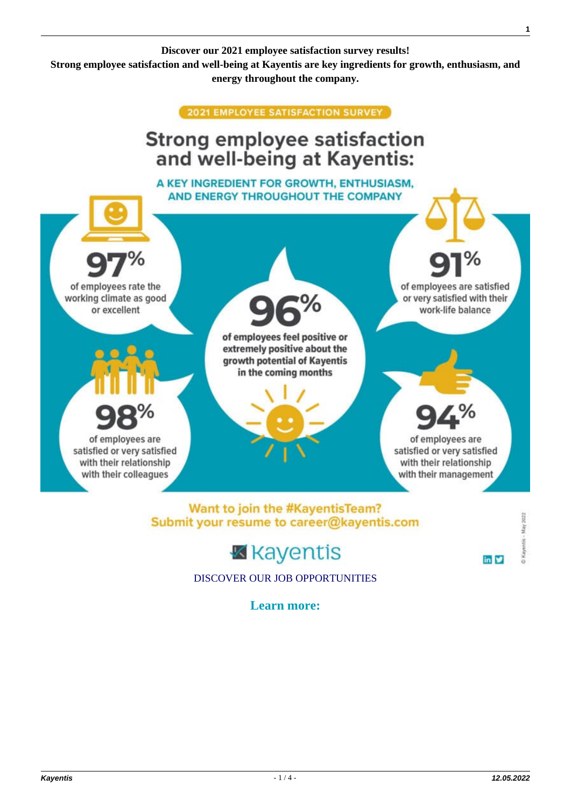

of employees are

satisfied or very satisfied

with their relationship

with their colleagues

[DISCOVER OUR JOB OPPORTUNITIES](https://kayentis.com/about-us/careers/)

**K** kayentis

Want to join the #KayentisTeam?

Submit your resume to career@kayentis.com

**Learn more:**

**Kayentis** - 1 / 4 - **12.05.2022**

Kayentis - May 2022

 $\mathbf{in}$   $\blacktriangleright$ 

of employees are

satisfied or very satisfied

with their relationship

with their management

**1**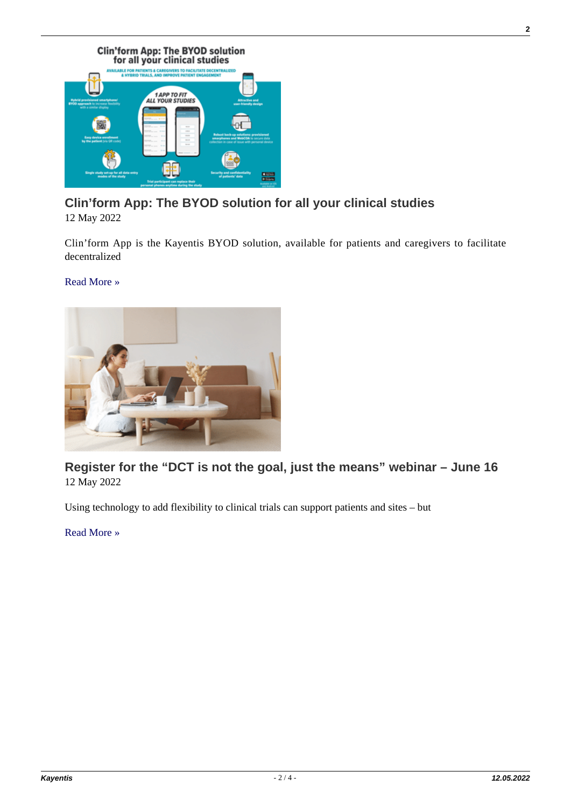

# **[Clin'form App: The BYOD solution for all your clinical studies](https://kayentis.com/clinform-app-the-byod-solution-for-all-your-clinical-studies/)**

12 May 2022

Clin'form App is the Kayentis BYOD solution, available for patients and caregivers to facilitate decentralized

[Read More »](https://kayentis.com/clinform-app-the-byod-solution-for-all-your-clinical-studies/)



**[Register for the "DCT is not the goal, just the means" webinar – June 16](https://kayentis.com/register-for-the-dct-is-not-the-goal-just-the-means-webinar-june-16/)** 12 May 2022

Using technology to add flexibility to clinical trials can support patients and sites – but

[Read More »](https://kayentis.com/register-for-the-dct-is-not-the-goal-just-the-means-webinar-june-16/)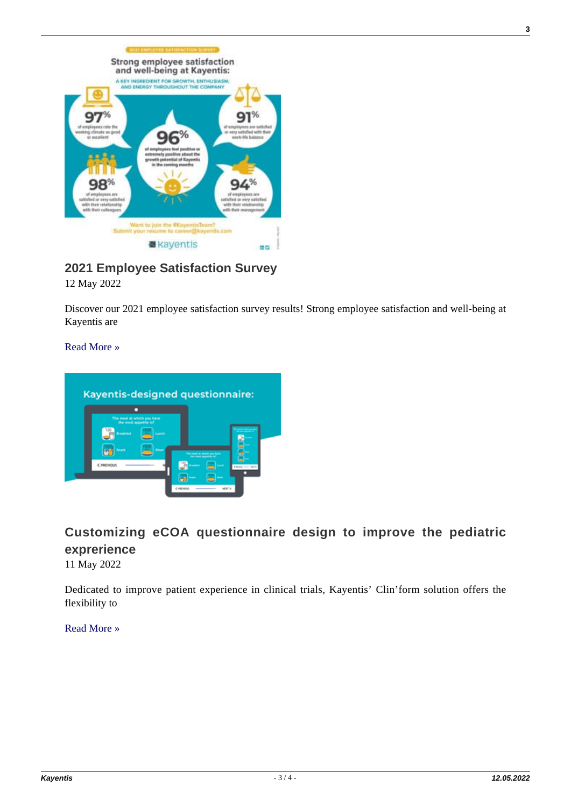

**[2021 Employee Satisfaction Survey](https://kayentis.com/2021-employee-satisfaction-survey/)**

12 May 2022

Discover our 2021 employee satisfaction survey results! Strong employee satisfaction and well-being at Kayentis are

[Read More »](https://kayentis.com/2021-employee-satisfaction-survey/)



## **[Customizing eCOA questionnaire design to improve the pediatric](https://kayentis.com/customizing-ecoa-questionnaire-design-to-improve-the-pediatric-exprerience/) [exprerience](https://kayentis.com/customizing-ecoa-questionnaire-design-to-improve-the-pediatric-exprerience/)**

11 May 2022

Dedicated to improve patient experience in clinical trials, Kayentis' Clin'form solution offers the flexibility to

[Read More »](https://kayentis.com/customizing-ecoa-questionnaire-design-to-improve-the-pediatric-exprerience/)